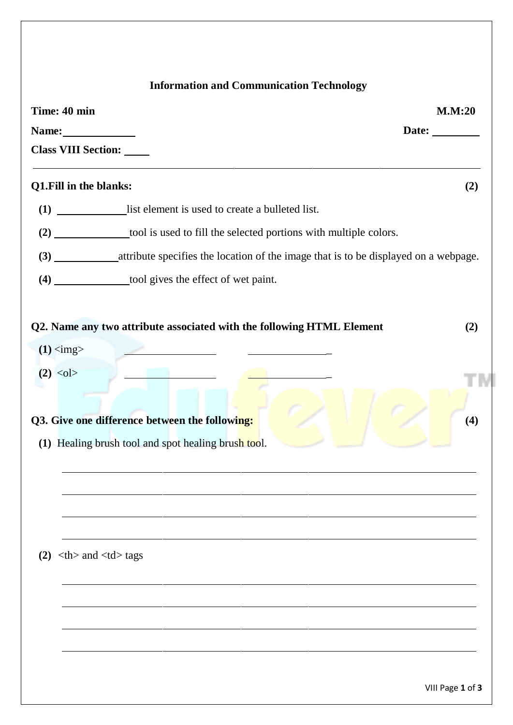## **Information and Communication Technology**

|                                                      | Time: 40 min                                                                                          | M.M:20 |  |  |
|------------------------------------------------------|-------------------------------------------------------------------------------------------------------|--------|--|--|
| Name:                                                |                                                                                                       | Date:  |  |  |
| <b>Class VIII Section:</b>                           |                                                                                                       |        |  |  |
| Q1.Fill in the blanks:                               |                                                                                                       | (2)    |  |  |
|                                                      | (1) list element is used to create a bulleted list.                                                   |        |  |  |
|                                                      | (2) ______________tool is used to fill the selected portions with multiple colors.                    |        |  |  |
|                                                      |                                                                                                       |        |  |  |
|                                                      | (4) ______________tool gives the effect of wet paint.                                                 |        |  |  |
| $(1)$ <img/>                                         | Q2. Name any two attribute associated with the following HTML Element                                 | (2)    |  |  |
| $(2)$ < ol >                                         |                                                                                                       |        |  |  |
|                                                      | Q3. Give one difference between the following:<br>(1) Healing brush tool and spot healing brush tool. | (4)    |  |  |
|                                                      |                                                                                                       |        |  |  |
|                                                      |                                                                                                       |        |  |  |
| $(2)$ <th> and <td> tags</td><td></td><td></td></th> | and <td> tags</td> <td></td> <td></td>                                                                | tags   |  |  |
|                                                      |                                                                                                       |        |  |  |
|                                                      |                                                                                                       |        |  |  |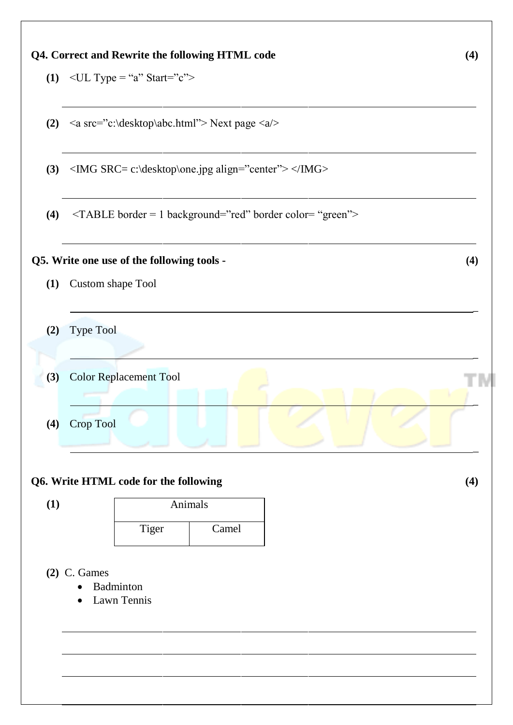

## **Q6. Write HTML code for the following (4)**

Tiger Camel Animals

## **(2)** C. Games

**(1)**

- Badminton
- Lawn Tennis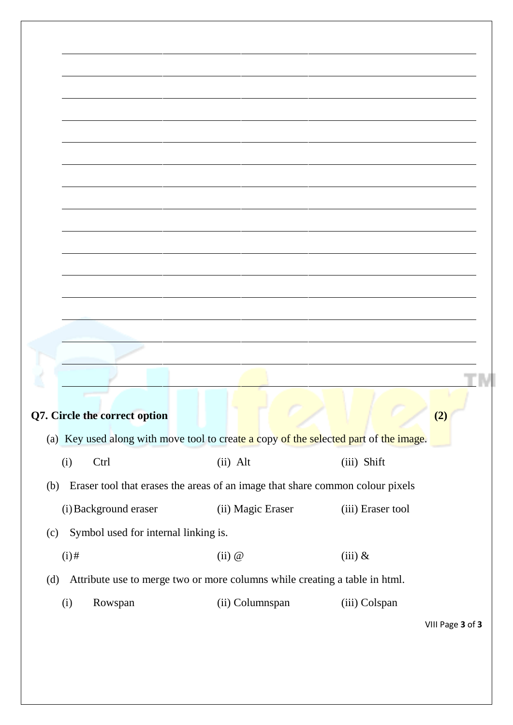|     |                                                                                       | Q7. Circle the correct option        |  |                   |  |               |                   | (2)              |  |  |  |
|-----|---------------------------------------------------------------------------------------|--------------------------------------|--|-------------------|--|---------------|-------------------|------------------|--|--|--|
|     |                                                                                       |                                      |  |                   |  |               |                   |                  |  |  |  |
|     | (a) Key used along with move tool to create a copy of the selected part of the image. |                                      |  |                   |  |               |                   |                  |  |  |  |
|     | (i)<br>Ctrl                                                                           |                                      |  | $(ii)$ Alt        |  | (iii) Shift   |                   |                  |  |  |  |
|     |                                                                                       |                                      |  |                   |  |               |                   |                  |  |  |  |
| (b) | Eraser tool that erases the areas of an image that share common colour pixels         |                                      |  |                   |  |               |                   |                  |  |  |  |
|     |                                                                                       | (i) Background eraser                |  | (ii) Magic Eraser |  |               | (iii) Eraser tool |                  |  |  |  |
|     |                                                                                       |                                      |  |                   |  |               |                   |                  |  |  |  |
| (c) |                                                                                       | Symbol used for internal linking is. |  |                   |  |               |                   |                  |  |  |  |
|     | $(i)$ #                                                                               |                                      |  | (ii) @            |  | $(iii)$ &     |                   |                  |  |  |  |
| (d) | Attribute use to merge two or more columns while creating a table in html.            |                                      |  |                   |  |               |                   |                  |  |  |  |
|     |                                                                                       |                                      |  |                   |  |               |                   |                  |  |  |  |
|     | (i)                                                                                   | Rowspan                              |  | (ii) Columnspan   |  | (iii) Colspan |                   |                  |  |  |  |
|     |                                                                                       |                                      |  |                   |  |               |                   | VIII Page 3 of 3 |  |  |  |